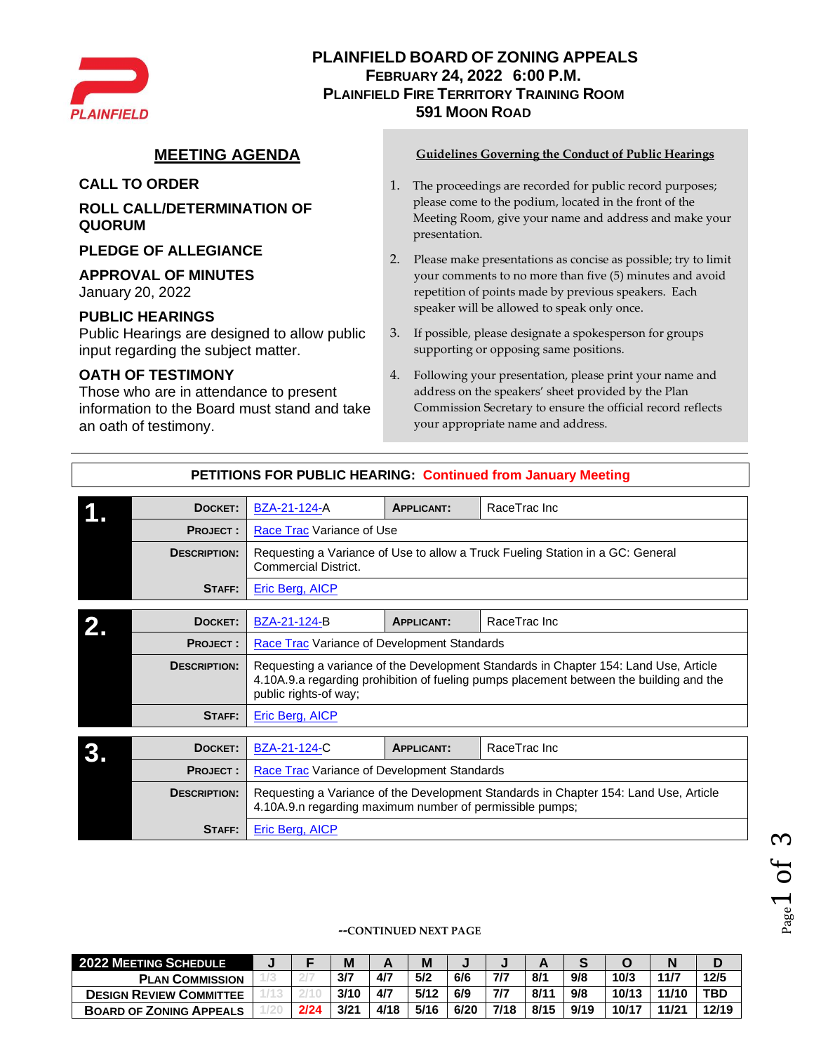

# **PLAINFIELD BOARD OF ZONING APPEALS FEBRUARY 24, 2022 6:00 P.M. PLAINFIELD FIRE TERRITORY TRAINING ROOM 591 MOON ROAD**

**ROLL CALL/DETERMINATION OF QUORUM**

**PLEDGE OF ALLEGIANCE**

### **APPROVAL OF MINUTES**

January 20, 2022

### **PUBLIC HEARINGS**

Public Hearings are designed to allow public input regarding the subject matter.

## **OATH OF TESTIMONY**

Those who are in attendance to present information to the Board must stand and take an oath of testimony.

#### **MEETING AGENDA Guidelines Governing the Conduct of Public Hearings**

- **CALL TO ORDER** 1. The proceedings are recorded for public record purposes; please come to the podium, located in the front of the Meeting Room, give your name and address and make your presentation.
	- 2. Please make presentations as concise as possible; try to limit your comments to no more than five (5) minutes and avoid repetition of points made by previous speakers. Each speaker will be allowed to speak only once.
	- 3. If possible, please designate a spokesperson for groups supporting or opposing same positions.
	- 4. Following your presentation, please print your name and address on the speakers' sheet provided by the Plan Commission Secretary to ensure the official record reflects your appropriate name and address.

| DOCKET:             | BZA-21-124-A                                                                                                                                                                                             | <b>APPLICANT:</b>                                                              | RaceTrac Inc |  |  |  |  |  |  |  |  |  |
|---------------------|----------------------------------------------------------------------------------------------------------------------------------------------------------------------------------------------------------|--------------------------------------------------------------------------------|--------------|--|--|--|--|--|--|--|--|--|
| <b>PROJECT:</b>     | Race Trac Variance of Use                                                                                                                                                                                |                                                                                |              |  |  |  |  |  |  |  |  |  |
| <b>DESCRIPTION:</b> | Commercial District.                                                                                                                                                                                     | Requesting a Variance of Use to allow a Truck Fueling Station in a GC: General |              |  |  |  |  |  |  |  |  |  |
| STAFF:              | Eric Berg, AICP                                                                                                                                                                                          |                                                                                |              |  |  |  |  |  |  |  |  |  |
|                     |                                                                                                                                                                                                          |                                                                                |              |  |  |  |  |  |  |  |  |  |
| DOCKET:             | BZA-21-124-B                                                                                                                                                                                             | <b>APPLICANT:</b>                                                              | RaceTrac Inc |  |  |  |  |  |  |  |  |  |
| <b>PROJECT:</b>     | <b>Race Trac Variance of Development Standards</b>                                                                                                                                                       |                                                                                |              |  |  |  |  |  |  |  |  |  |
| <b>DESCRIPTION:</b> | Requesting a variance of the Development Standards in Chapter 154: Land Use, Article<br>4.10A.9.a regarding prohibition of fueling pumps placement between the building and the<br>public rights-of way; |                                                                                |              |  |  |  |  |  |  |  |  |  |
| STAFF:              | <b>Eric Berg, AICP</b>                                                                                                                                                                                   |                                                                                |              |  |  |  |  |  |  |  |  |  |
|                     |                                                                                                                                                                                                          |                                                                                |              |  |  |  |  |  |  |  |  |  |
| DOCKET:             | BZA-21-124-C                                                                                                                                                                                             | <b>APPLICANT:</b>                                                              | RaceTrac Inc |  |  |  |  |  |  |  |  |  |
| <b>PROJECT:</b>     | <b>Race Trac Variance of Development Standards</b>                                                                                                                                                       |                                                                                |              |  |  |  |  |  |  |  |  |  |
| <b>DESCRIPTION:</b> | Requesting a Variance of the Development Standards in Chapter 154: Land Use, Article<br>4.10A.9.n regarding maximum number of permissible pumps;                                                         |                                                                                |              |  |  |  |  |  |  |  |  |  |
| STAFF:              | <b>Eric Berg, AICP</b>                                                                                                                                                                                   |                                                                                |              |  |  |  |  |  |  |  |  |  |

# **PETITIONS FOR PUBLIC HEARING: Continued from January Meeting**

#### **--CONTINUED NEXT PAGE**

| <b>2022 MEETING SCHEDULE</b>   |      | M    |      | Μ    |      |      |      |      |       |       |            |
|--------------------------------|------|------|------|------|------|------|------|------|-------|-------|------------|
| <b>PLAN COMMISSION</b>         |      | 3/7  | 4/7  | 5/2  | 6/6  | 7/7  | 8/1  | 9/8  | 10/3  | 11/7  | 12/5       |
| <b>DESIGN REVIEW COMMITTEE</b> |      | 3/10 | 4/7  | 5/12 | 6/9  | 7/7  | 8/11 | 9/8  | 10/13 | 11/10 | <b>TBD</b> |
| <b>BOARD OF ZONING APPEALS</b> | 2/24 | 3/21 | 4/18 | 5/16 | 6/20 | 7/18 | 8/15 | 9/19 | 10/17 | 11/21 | 12/19      |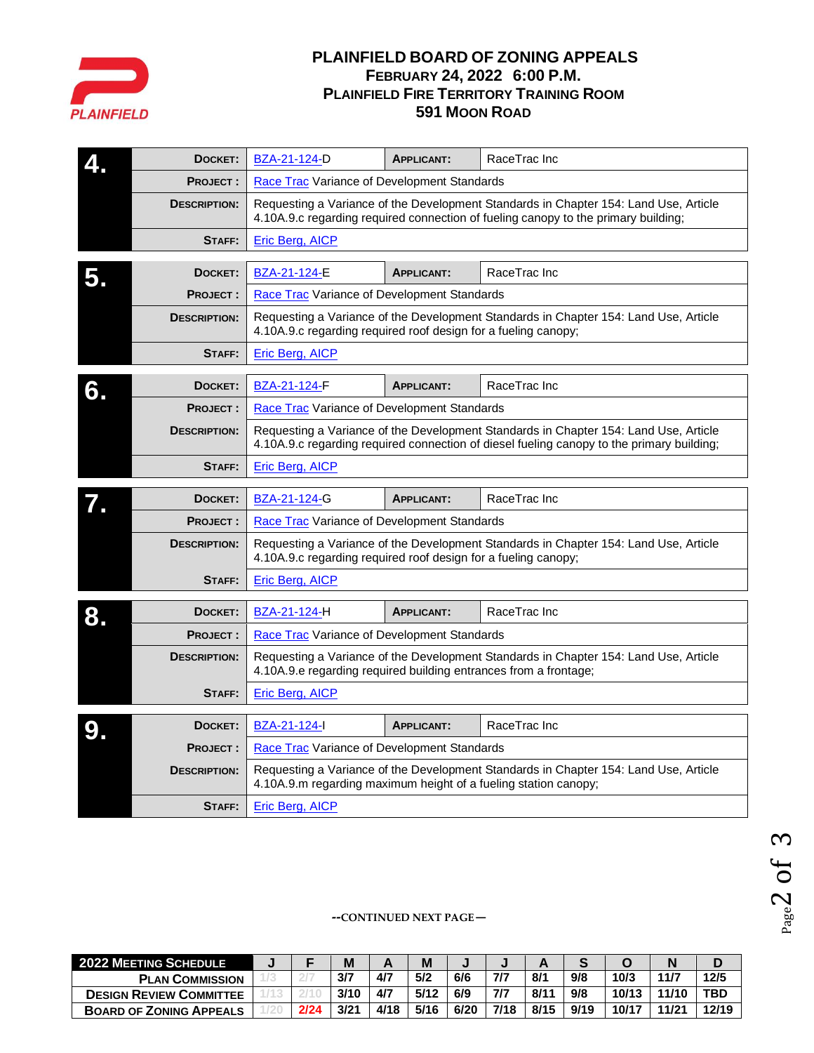

# **PLAINFIELD BOARD OF ZONING APPEALS FEBRUARY 24, 2022 6:00 P.M. PLAINFIELD FIRE TERRITORY TRAINING ROOM 591 MOON ROAD**

|    | DOCKET:             | BZA-21-124-D                                                                                                                                                                      | <b>APPLICANT:</b>                                                                                                                                                          | RaceTrac Inc                                                                         |  |  |  |  |  |  |  |  |  |  |
|----|---------------------|-----------------------------------------------------------------------------------------------------------------------------------------------------------------------------------|----------------------------------------------------------------------------------------------------------------------------------------------------------------------------|--------------------------------------------------------------------------------------|--|--|--|--|--|--|--|--|--|--|
|    | <b>PROJECT:</b>     | Race Trac Variance of Development Standards                                                                                                                                       |                                                                                                                                                                            |                                                                                      |  |  |  |  |  |  |  |  |  |  |
|    | <b>DESCRIPTION:</b> |                                                                                                                                                                                   | Requesting a Variance of the Development Standards in Chapter 154: Land Use, Article<br>4.10A.9.c regarding required connection of fueling canopy to the primary building; |                                                                                      |  |  |  |  |  |  |  |  |  |  |
|    | STAFF:              | Eric Berg, AICP                                                                                                                                                                   |                                                                                                                                                                            |                                                                                      |  |  |  |  |  |  |  |  |  |  |
| 5. | DOCKET:             | BZA-21-124-E                                                                                                                                                                      | <b>APPLICANT:</b>                                                                                                                                                          | RaceTrac Inc                                                                         |  |  |  |  |  |  |  |  |  |  |
|    | <b>PROJECT:</b>     | Race Trac Variance of Development Standards                                                                                                                                       |                                                                                                                                                                            |                                                                                      |  |  |  |  |  |  |  |  |  |  |
|    | <b>DESCRIPTION:</b> |                                                                                                                                                                                   | Requesting a Variance of the Development Standards in Chapter 154: Land Use, Article<br>4.10A.9.c regarding required roof design for a fueling canopy;                     |                                                                                      |  |  |  |  |  |  |  |  |  |  |
|    | STAFF:              | Eric Berg, AICP                                                                                                                                                                   |                                                                                                                                                                            |                                                                                      |  |  |  |  |  |  |  |  |  |  |
| 6. | DOCKET:             | BZA-21-124-F                                                                                                                                                                      | RaceTrac Inc<br><b>APPLICANT:</b>                                                                                                                                          |                                                                                      |  |  |  |  |  |  |  |  |  |  |
|    | <b>PROJECT:</b>     | Race Trac Variance of Development Standards                                                                                                                                       |                                                                                                                                                                            |                                                                                      |  |  |  |  |  |  |  |  |  |  |
|    | <b>DESCRIPTION:</b> | Requesting a Variance of the Development Standards in Chapter 154: Land Use, Article<br>4.10A.9.c regarding required connection of diesel fueling canopy to the primary building; |                                                                                                                                                                            |                                                                                      |  |  |  |  |  |  |  |  |  |  |
|    | STAFF:              | <b>Eric Berg, AICP</b>                                                                                                                                                            |                                                                                                                                                                            |                                                                                      |  |  |  |  |  |  |  |  |  |  |
|    | DOCKET:             | BZA-21-124-G                                                                                                                                                                      | RaceTrac Inc                                                                                                                                                               |                                                                                      |  |  |  |  |  |  |  |  |  |  |
|    | <b>PROJECT:</b>     | Race Trac Variance of Development Standards                                                                                                                                       |                                                                                                                                                                            |                                                                                      |  |  |  |  |  |  |  |  |  |  |
|    | <b>DESCRIPTION:</b> | 4.10A.9.c regarding required roof design for a fueling canopy;                                                                                                                    |                                                                                                                                                                            | Requesting a Variance of the Development Standards in Chapter 154: Land Use, Article |  |  |  |  |  |  |  |  |  |  |
|    | STAFF:              | Eric Berg, AICP                                                                                                                                                                   |                                                                                                                                                                            |                                                                                      |  |  |  |  |  |  |  |  |  |  |
| 8. | DOCKET:             | BZA-21-124-H                                                                                                                                                                      | <b>APPLICANT:</b>                                                                                                                                                          | RaceTrac Inc                                                                         |  |  |  |  |  |  |  |  |  |  |
|    | <b>PROJECT:</b>     | Race Trac Variance of Development Standards                                                                                                                                       |                                                                                                                                                                            |                                                                                      |  |  |  |  |  |  |  |  |  |  |
|    | <b>DESCRIPTION:</b> | 4.10A.9.e regarding required building entrances from a frontage;                                                                                                                  |                                                                                                                                                                            | Requesting a Variance of the Development Standards in Chapter 154: Land Use, Article |  |  |  |  |  |  |  |  |  |  |
|    | STAFF:              | <b>Eric Berg, AICP</b>                                                                                                                                                            |                                                                                                                                                                            |                                                                                      |  |  |  |  |  |  |  |  |  |  |
|    | DOCKET:             | <b>BZA-21-124-I</b>                                                                                                                                                               | RaceTrac Inc<br><b>APPLICANT:</b>                                                                                                                                          |                                                                                      |  |  |  |  |  |  |  |  |  |  |
|    | <b>PROJECT:</b>     | Race Trac Variance of Development Standards                                                                                                                                       |                                                                                                                                                                            |                                                                                      |  |  |  |  |  |  |  |  |  |  |
|    | <b>DESCRIPTION:</b> | 4.10A.9.m regarding maximum height of a fueling station canopy;                                                                                                                   |                                                                                                                                                                            | Requesting a Variance of the Development Standards in Chapter 154: Land Use, Article |  |  |  |  |  |  |  |  |  |  |
|    | STAFF:              | <b>Eric Berg, AICP</b>                                                                                                                                                            |                                                                                                                                                                            |                                                                                      |  |  |  |  |  |  |  |  |  |  |

#### **--CONTINUED NEXT PAGE—**

| <b>2022 MEETING SCHEDULE</b>   |      | M    |      | M    |      |      |      |      |       |       |       |
|--------------------------------|------|------|------|------|------|------|------|------|-------|-------|-------|
| <b>PLAN COMMISSION</b>         |      | 3/7  | 4/7  | 5/2  | 6/6  | 7/7  | 8/1  | 9/8  | 10/3  | 11/7  | 12/5  |
| <b>DESIGN REVIEW COMMITTEE</b> |      | 3/10 | 4/7  | 5/12 | 6/9  | 7/7  | 8/1  | 9/8  | 10/13 | 11/10 | TBD   |
| <b>BOARD OF ZONING APPEALS</b> | 2/24 | 3/21 | 4/18 | 5/16 | 6/20 | 7/18 | 8/15 | 9/19 | 10/17 | 11/21 | 12/19 |